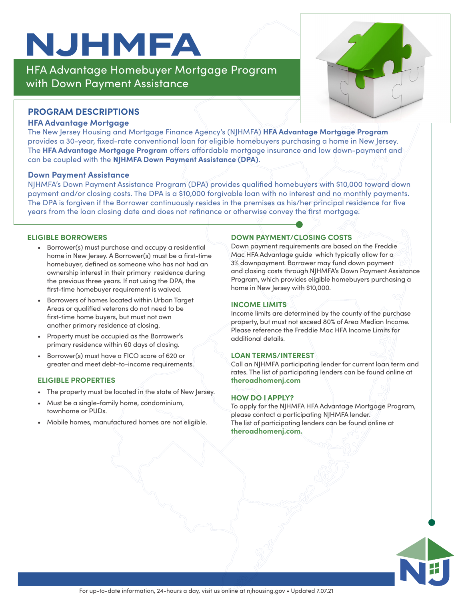## **NJHMFA**

HFA Advantage Homebuyer Mortgage Program with Down Payment Assistance

#### **PROGRAM DESCRIPTIONS**

#### **HFA Advantage Mortgage**

The New Jersey Housing and Mortgage Finance Agency's (NJHMFA) **HFA Advantage Mortgage Program** provides a 30-year, fixed-rate conventional loan for eligible homebuyers purchasing a home in New Jersey. The **HFA Advantage Mortgage Program** offers affordable mortgage insurance and low down-payment and can be coupled with the **NJHMFA Down Payment Assistance (DPA)**.

#### **Down Payment Assistance**

NJHMFA's Down Payment Assistance Program (DPA) provides qualified homebuyers with \$10,000 toward down payment and/or closing costs. The DPA is a \$10,000 forgivable loan with no interest and no monthly payments. The DPA is forgiven if the Borrower continuously resides in the premises as his/her principal residence for five years from the loan closing date and does not refinance or otherwise convey the first mortgage.

#### **ELIGIBLE BORROWERS**

- Borrower(s) must purchase and occupy a residential home in New Jersey. A Borrower(s) must be a first-time homebuyer, defined as someone who has not had an ownership interest in their primary residence during the previous three years. If not using the DPA, the first-time homebuyer requirement is waived.
- Borrowers of homes located within Urban Target Areas or qualified veterans do not need to be first-time home buyers, but must not own another primary residence at closing.
- Property must be occupied as the Borrower's primary residence within 60 days of closing.
- Borrower(s) must have a FICO score of 620 or greater and meet debt-to-income requirements.

#### **ELIGIBLE PROPERTIES**

- The property must be located in the state of New Jersey.
- Must be a single-family home, condominium, townhome or PUDs.
- Mobile homes, manufactured homes are not eligible.

#### **DOWN PAYMENT/CLOSING COSTS**

Down payment requirements are based on the Freddie Mac HFA Advantage guide which typically allow for a 3% downpayment. Borrower may fund down payment and closing costs through NJHMFA's Down Payment Assistance Program, which provides eligible homebuyers purchasing a home in New Jersey with \$10,000.

#### **INCOME LIMITS**

Income limits are determined by the county of the purchase property, but must not exceed 80% of Area Median Income. Please reference the Freddie Mac HFA Income Limits for additional details.

#### **LOAN TERMS/INTEREST**

Call an NJHMFA participating lender for current loan term and rates. The list of participating lenders can be found online at **theroadhomenj.com** 

#### **HOW DO I APPLY?**

To apply for the NJHMFA HFA Advantage Mortgage Program, please contact a participating NJHMFA lender. The list of participating lenders can be found online at **theroadhomenj.com.**